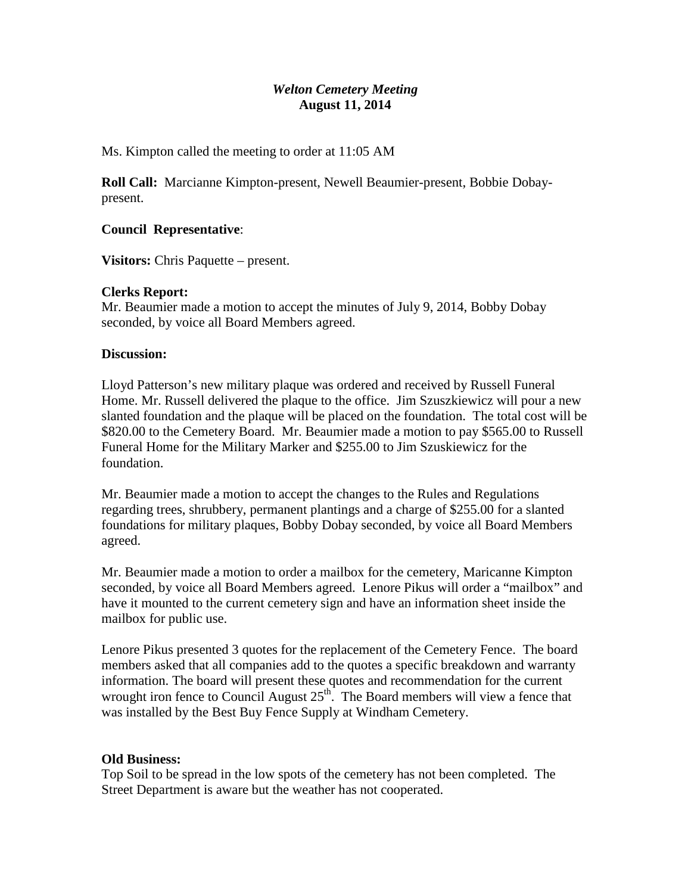# *Welton Cemetery Meeting* **August 11, 2014**

Ms. Kimpton called the meeting to order at 11:05 AM

**Roll Call:** Marcianne Kimpton-present, Newell Beaumier-present, Bobbie Dobaypresent.

### **Council Representative**:

**Visitors:** Chris Paquette – present.

## **Clerks Report:**

Mr. Beaumier made a motion to accept the minutes of July 9, 2014, Bobby Dobay seconded, by voice all Board Members agreed.

### **Discussion:**

Lloyd Patterson's new military plaque was ordered and received by Russell Funeral Home. Mr. Russell delivered the plaque to the office. Jim Szuszkiewicz will pour a new slanted foundation and the plaque will be placed on the foundation. The total cost will be \$820.00 to the Cemetery Board. Mr. Beaumier made a motion to pay \$565.00 to Russell Funeral Home for the Military Marker and \$255.00 to Jim Szuskiewicz for the foundation.

Mr. Beaumier made a motion to accept the changes to the Rules and Regulations regarding trees, shrubbery, permanent plantings and a charge of \$255.00 for a slanted foundations for military plaques, Bobby Dobay seconded, by voice all Board Members agreed.

Mr. Beaumier made a motion to order a mailbox for the cemetery, Maricanne Kimpton seconded, by voice all Board Members agreed. Lenore Pikus will order a "mailbox" and have it mounted to the current cemetery sign and have an information sheet inside the mailbox for public use.

Lenore Pikus presented 3 quotes for the replacement of the Cemetery Fence. The board members asked that all companies add to the quotes a specific breakdown and warranty information. The board will present these quotes and recommendation for the current wrought iron fence to Council August  $25<sup>th</sup>$ . The Board members will view a fence that was installed by the Best Buy Fence Supply at Windham Cemetery.

### **Old Business:**

Top Soil to be spread in the low spots of the cemetery has not been completed. The Street Department is aware but the weather has not cooperated.